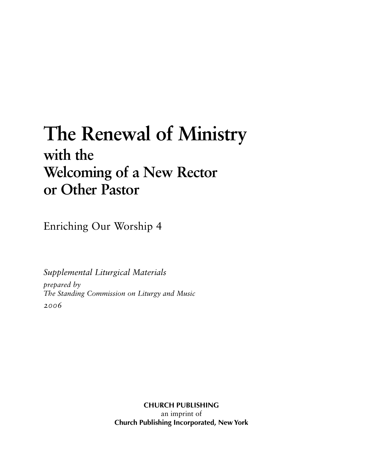# **The Renewal of Ministry with the Welcoming of a New Rector or Other Pastor**

Enriching Our Worship 4

*Supplemental Liturgical Materials*

*prepared by The Standing Commission on Liturgy and Music 2006*

> **CHURCH PUBLISHING** an imprint of **Church Publishing Incorporated, New York**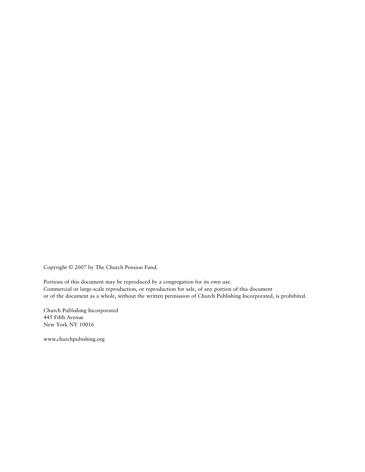Copyright © 2007 by The Church Pension Fund.

Portions of this document may be reproduced by a congregation for its own use. Commercial or large-scale reproduction, or reproduction for sale, of any portion of this document or of the document as a whole, without the written permission of Church Publishing Incorporated, is prohibited.

Church Publishing Incorporated 445 Fifth Avenue New York NY 10016

www.churchpubishing.org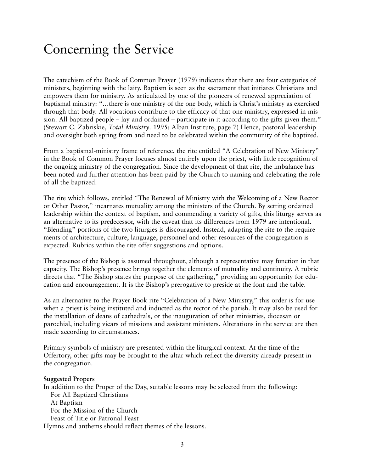## Concerning the Service

The catechism of the Book of Common Prayer (1979) indicates that there are four categories of ministers, beginning with the laity. Baptism is seen as the sacrament that initiates Christians and empowers them for ministry. As articulated by one of the pioneers of renewed appreciation of baptismal ministry: "…there is one ministry of the one body, which is Christ's ministry as exercised through that body. All vocations contribute to the efficacy of that one ministry, expressed in mission. All baptized people – lay and ordained – participate in it according to the gifts given them." (Stewart C. Zabriskie, *Total Ministry*. 1995: Alban Institute, page 7) Hence, pastoral leadership and oversight both spring from and need to be celebrated within the community of the baptized.

From a baptismal-ministry frame of reference, the rite entitled "A Celebration of New Ministry" in the Book of Common Prayer focuses almost entirely upon the priest, with little recognition of the ongoing ministry of the congregation. Since the development of that rite, the imbalance has been noted and further attention has been paid by the Church to naming and celebrating the role of all the baptized.

The rite which follows, entitled "The Renewal of Ministry with the Welcoming of a New Rector or Other Pastor," incarnates mutuality among the ministers of the Church. By setting ordained leadership within the context of baptism, and commending a variety of gifts, this liturgy serves as an alternative to its predecessor, with the caveat that its differences from 1979 are intentional. "Blending" portions of the two liturgies is discouraged. Instead, adapting the rite to the requirements of architecture, culture, language, personnel and other resources of the congregation is expected. Rubrics within the rite offer suggestions and options.

The presence of the Bishop is assumed throughout, although a representative may function in that capacity. The Bishop's presence brings together the elements of mutuality and continuity. A rubric directs that "The Bishop states the purpose of the gathering," providing an opportunity for education and encouragement. It is the Bishop's prerogative to preside at the font and the table.

As an alternative to the Prayer Book rite "Celebration of a New Ministry," this order is for use when a priest is being instituted and inducted as the rector of the parish. It may also be used for the installation of deans of cathedrals, or the inauguration of other ministries, diocesan or parochial, including vicars of missions and assistant ministers. Alterations in the service are then made according to circumstances.

Primary symbols of ministry are presented within the liturgical context. At the time of the Offertory, other gifts may be brought to the altar which reflect the diversity already present in the congregation.

#### **Suggested Propers**

In addition to the Proper of the Day, suitable lessons may be selected from the following: For All Baptized Christians At Baptism For the Mission of the Church

Feast of Title or Patronal Feast

Hymns and anthems should reflect themes of the lessons.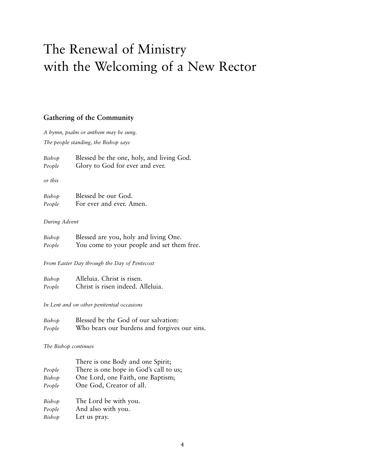## The Renewal of Ministry with the Welcoming of a New Rector

## **Gathering of the Community**

*A hymn, psalm or anthem may be sung. The people standing, the Bishop says*

| Bishop | Blessed be the one, holy, and living God. |
|--------|-------------------------------------------|
| People | Glory to God for ever and ever.           |

*or this*

| Bishop | Blessed be our God.      |
|--------|--------------------------|
| People | For ever and ever. Amen. |

#### *During Advent*

| Bishop | Blessed are you, holy and living One.      |
|--------|--------------------------------------------|
| People | You come to your people and set them free. |

*From Easter Day through the Day of Pentecost*

| Bishop | Alleluia. Christ is risen.        |
|--------|-----------------------------------|
| People | Christ is risen indeed. Alleluia. |

*In Lent and on other penitential occasions*

| Bishop | Blessed be the God of our salvation:         |
|--------|----------------------------------------------|
| People | Who bears our burdens and forgives our sins. |

*The Bishop continues*

| There is one Body and one Spirit;      |
|----------------------------------------|
| There is one hope in God's call to us; |
| One Lord, one Faith, one Baptism;      |
|                                        |
|                                        |
|                                        |
|                                        |
|                                        |
|                                        |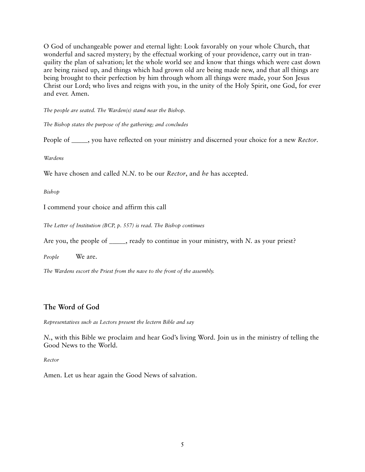O God of unchangeable power and eternal light: Look favorably on your whole Church, that wonderful and sacred mystery; by the effectual working of your providence, carry out in tranquility the plan of salvation; let the whole world see and know that things which were cast down are being raised up, and things which had grown old are being made new, and that all things are being brought to their perfection by him through whom all things were made, your Son Jesus Christ our Lord; who lives and reigns with you, in the unity of the Holy Spirit, one God, for ever and ever. Amen.

*The people are seated. The Warden(s) stand near the Bishop.*

*The Bishop states the purpose of the gathering; and concludes*

People of \_\_\_\_\_, you have reflected on your ministry and discerned your choice for a new *Rector*.

*Wardens*

We have chosen and called *N.N*. to be our *Rector*, and *he* has accepted.

*Bishop*

I commend your choice and affirm this call

*The Letter of Institution (BCP, p. 557) is read. The Bishop continues*

Are you, the people of \_\_\_\_\_, ready to continue in your ministry, with *N*. as your priest?

*People* We are.

*The Wardens escort the Priest from the nave to the front of the assembly.*

## **The Word of God**

*Representatives such as Lectors present the lectern Bible and say*

*N.*, with this Bible we proclaim and hear God's living Word. Join us in the ministry of telling the Good News to the World.

*Rector*

Amen. Let us hear again the Good News of salvation.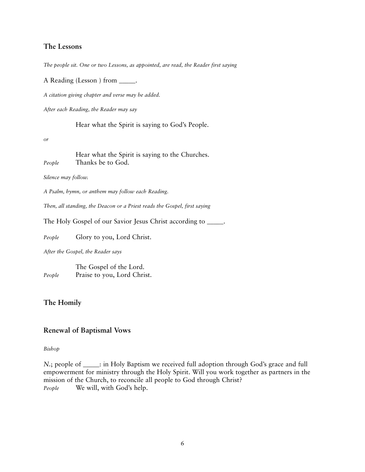### **The Lessons**

*The people sit. One or two Lessons, as appointed, are read, the Reader first saying*

A Reading (Lesson ) from \_\_\_\_\_.

*A citation giving chapter and verse may be added.*

*After each Reading, the Reader may say*

Hear what the Spirit is saying to God's People.

*or*

Hear what the Spirit is saying to the Churches. *People* Thanks be to God.

*Silence may follow.*

*A Psalm, hymn, or anthem may follow each Reading.*

*Then, all standing, the Deacon or a Priest reads the Gospel, first saying*

The Holy Gospel of our Savior Jesus Christ according to \_\_\_\_\_.

*People* Glory to you, Lord Christ.

*After the Gospel, the Reader says*

The Gospel of the Lord. *People* Praise to you, Lord Christ.

### **The Homily**

#### **Renewal of Baptismal Vows**

#### *Bishop*

*N*.; people of <u>each</u>: in Holy Baptism we received full adoption through God's grace and full empowerment for ministry through the Holy Spirit. Will you work together as partners in the mission of the Church, to reconcile all people to God through Christ? *People* We will, with God's help.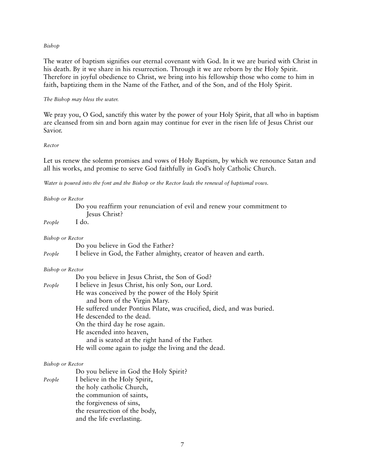#### *Bishop*

The water of baptism signifies our eternal covenant with God. In it we are buried with Christ in his death. By it we share in his resurrection. Through it we are reborn by the Holy Spirit. Therefore in joyful obedience to Christ, we bring into his fellowship those who come to him in faith, baptizing them in the Name of the Father, and of the Son, and of the Holy Spirit.

#### *The Bishop may bless the water.*

We pray you, O God, sanctify this water by the power of your Holy Spirit, that all who in baptism are cleansed from sin and born again may continue for ever in the risen life of Jesus Christ our Savior.

#### *Rector*

Let us renew the solemn promises and vows of Holy Baptism, by which we renounce Satan and all his works, and promise to serve God faithfully in God's holy Catholic Church.

*Water is poured into the font and the Bishop or the Rector leads the renewal of baptismal vows.*

## *Bishop or Rector* Do you reaffirm your renunciation of evil and renew your commitment to Jesus Christ? *People* I do. *Bishop or Rector* Do you believe in God the Father? *People* I believe in God, the Father almighty, creator of heaven and earth. *Bishop or Rector* Do you believe in Jesus Christ, the Son of God? *People* I believe in Jesus Christ, his only Son, our Lord. He was conceived by the power of the Holy Spirit and born of the Virgin Mary. He suffered under Pontius Pilate, was crucified, died, and was buried. He descended to the dead. On the third day he rose again. He ascended into heaven, and is seated at the right hand of the Father. He will come again to judge the living and the dead. *Bishop or Rector* Do you believe in God the Holy Spirit? *People* I believe in the Holy Spirit, the holy catholic Church, the communion of saints,

the forgiveness of sins, the resurrection of the body, and the life everlasting.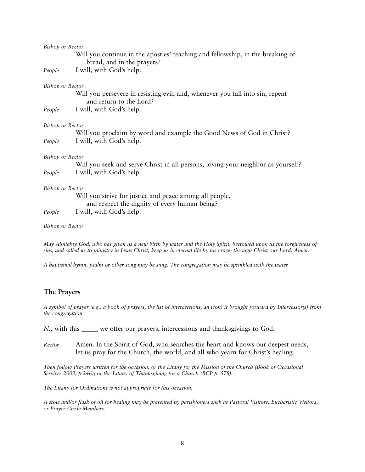| Bishop or Rector        |                                                                                                                  |
|-------------------------|------------------------------------------------------------------------------------------------------------------|
|                         | Will you continue in the apostles' teaching and fellowship, in the breaking of<br>bread, and in the prayers?     |
| People                  | I will, with God's help.                                                                                         |
| Bishop or Rector        |                                                                                                                  |
|                         | Will you persevere in resisting evil, and, whenever you fall into sin, repent<br>and return to the Lord?         |
| People                  | I will, with God's help.                                                                                         |
| Bishop or Rector        |                                                                                                                  |
|                         | Will you proclaim by word and example the Good News of God in Christ?                                            |
| People                  | I will, with God's help.                                                                                         |
| <b>Bishop or Rector</b> |                                                                                                                  |
|                         | Will you seek and serve Christ in all persons, loving your neighbor as yourself?                                 |
| People                  | I will, with God's help.                                                                                         |
| <b>Bishop or Rector</b> |                                                                                                                  |
|                         | Will you strive for justice and peace among all people,<br>and respect the dignity of every human being?         |
| People                  | I will, with God's help.                                                                                         |
| Bishop or Rector        |                                                                                                                  |
|                         | May Almighty God, who has given us a new birth by water and the Holy Spirit, bestowed upon us the forgiveness of |
|                         |                                                                                                                  |

*sins, and called us to ministry in Jesus Christ, keep us in eternal life by his grace; through Christ our Lord. Amen.*

*A baptismal hymn, psalm or other song may be sung. The congregation may be sprinkled with the water.*

## **The Prayers**

*A symbol of prayer (e.g., a book of prayers, the list of intercessions, an icon) is brought forward by Intercessor(s) from the congregation.*

*N.*, with this \_\_\_\_\_ we offer our prayers, intercessions and thanksgivings to God.

*Rector* Amen. In the Spirit of God, who searches the heart and knows our deepest needs, let us pray for the Church, the world, and all who yearn for Christ's healing.

*Then follow Prayers written for the occasion; or the Litany for the Mission of the Church (Book of Occasional Services 2003, p 246); or the Litany of Thanksgiving for a Church (BCP p. 578).*

*The Litany for Ordinations is not appropriate for this occasion.*

*A stole and/or flask of oil for healing may be presented by parishioners such as Pastoral Visitors, Eucharistic Visitors, or Prayer Circle Members.*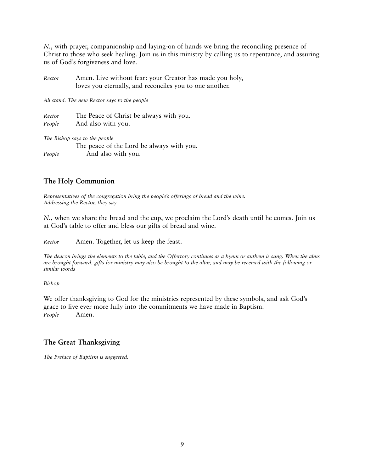*N.*, with prayer, companionship and laying-on of hands we bring the reconciling presence of Christ to those who seek healing. Join us in this ministry by calling us to repentance, and assuring us of God's forgiveness and love.

*Rector* Amen. Live without fear: your Creator has made you holy, loves you eternally, and reconciles you to one another.

*All stand. The new Rector says to the people*

*Rector* The Peace of Christ be always with you. *People* And also with you.

*The Bishop says to the people*

The peace of the Lord be always with you. *People* And also with you.

## **The Holy Communion**

*Representatives of the congregation bring the people's offerings of bread and the wine. Addressing the Rector, they say*

*N.*, when we share the bread and the cup, we proclaim the Lord's death until he comes. Join us at God's table to offer and bless our gifts of bread and wine.

*Rector* Amen. Together, let us keep the feast.

*The deacon brings the elements to the table, and the Offertory continues as a hymn or anthem is sung. When the alms are brought forward, gifts for ministry may also be brought to the altar, and may be received with the following or similar words*

*Bishop*

We offer thanksgiving to God for the ministries represented by these symbols, and ask God's grace to live ever more fully into the commitments we have made in Baptism. *People* Amen.

## **The Great Thanksgiving**

*The Preface of Baptism is suggested.*